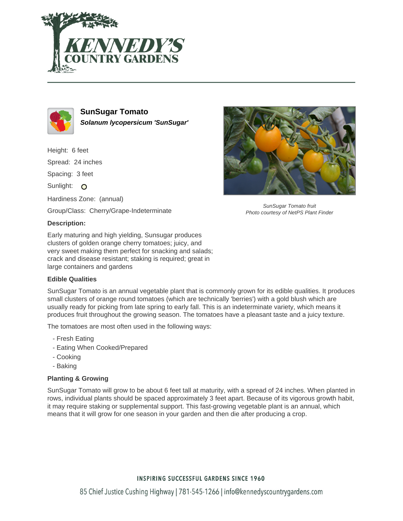



**SunSugar Tomato Solanum lycopersicum 'SunSugar'**

Height: 6 feet Spread: 24 inches Spacing: 3 feet Sunlight: O Hardiness Zone: (annual)

Group/Class: Cherry/Grape-Indeterminate

## **Description:**

Early maturing and high yielding, Sunsugar produces clusters of golden orange cherry tomatoes; juicy, and very sweet making them perfect for snacking and salads; crack and disease resistant; staking is required; great in large containers and gardens

## **Edible Qualities**

SunSugar Tomato is an annual vegetable plant that is commonly grown for its edible qualities. It produces small clusters of orange round tomatoes (which are technically 'berries') with a gold blush which are usually ready for picking from late spring to early fall. This is an indeterminate variety, which means it produces fruit throughout the growing season. The tomatoes have a pleasant taste and a juicy texture.

The tomatoes are most often used in the following ways:

- Fresh Eating
- Eating When Cooked/Prepared
- Cooking
- Baking

## **Planting & Growing**

SunSugar Tomato will grow to be about 6 feet tall at maturity, with a spread of 24 inches. When planted in rows, individual plants should be spaced approximately 3 feet apart. Because of its vigorous growth habit, it may require staking or supplemental support. This fast-growing vegetable plant is an annual, which means that it will grow for one season in your garden and then die after producing a crop.



SunSugar Tomato fruit Photo courtesy of NetPS Plant Finder

## **INSPIRING SUCCESSFUL GARDENS SINCE 1960**